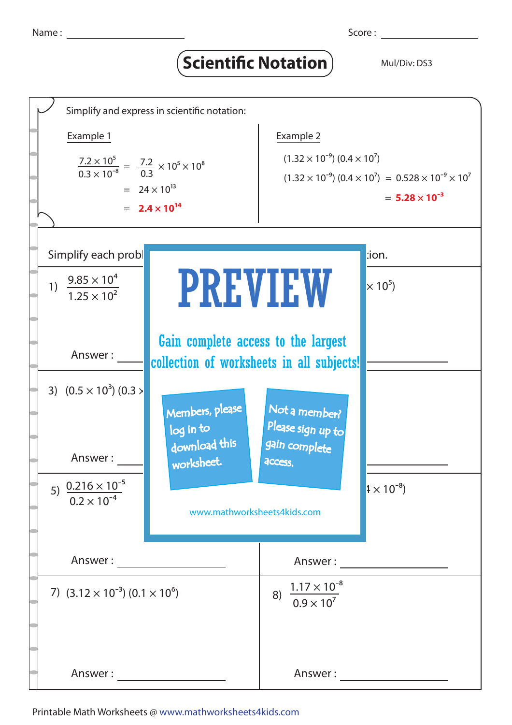## Scientific Notation<sup>)</sup> Mul/Div: DS3



Printable Math Worksheets @ www.mathworksheets4kids.com